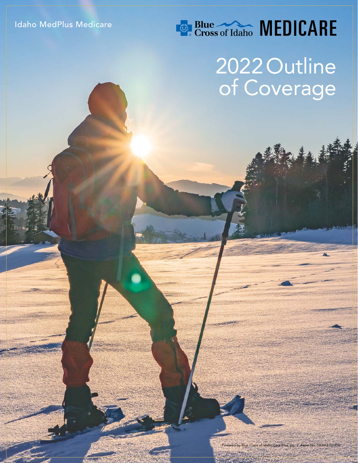## **Example 2008** MEDICARE

# 2022 Outline of Coverage

Powered by Blue Cross of Idaho Care Plus, Inc. | Form No. 18-643 (10-21)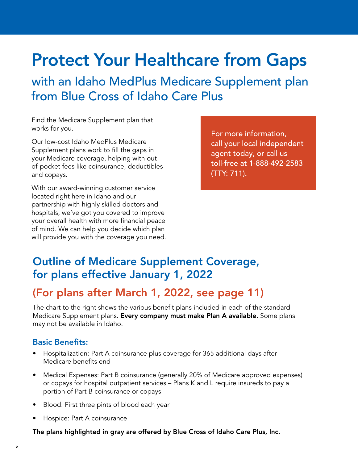## Protect Your Healthcare from Gaps

with an Idaho MedPlus Medicare Supplement plan from Blue Cross of Idaho Care Plus

Find the Medicare Supplement plan that works for you.

Our low-cost Idaho MedPlus Medicare Supplement plans work to fill the gaps in your Medicare coverage, helping with outof-pocket fees like coinsurance, deductibles and copays.

With our award-winning customer service located right here in Idaho and our partnership with highly skilled doctors and hospitals, we've got you covered to improve your overall health with more financial peace of mind. We can help you decide which plan will provide you with the coverage you need. For more information, call your local independent agent today, or call us toll-free at 1-888-492-2583 (TTY: 711).

#### Outline of Medicare Supplement Coverage, for plans effective January 1, 2022

#### (For plans after March 1, 2022, see page 11)

The chart to the right shows the various benefit plans included in each of the standard Medicare Supplement plans. Every company must make Plan A available. Some plans may not be available in Idaho.

#### Basic Benefits:

- Hospitalization: Part A coinsurance plus coverage for 365 additional days after Medicare benefits end
- Medical Expenses: Part B coinsurance (generally 20% of Medicare approved expenses) or copays for hospital outpatient services – Plans K and L require insureds to pay a portion of Part B coinsurance or copays
- Blood: First three pints of blood each year
- Hospice: Part A coinsurance

The plans highlighted in gray are offered by Blue Cross of Idaho Care Plus, Inc.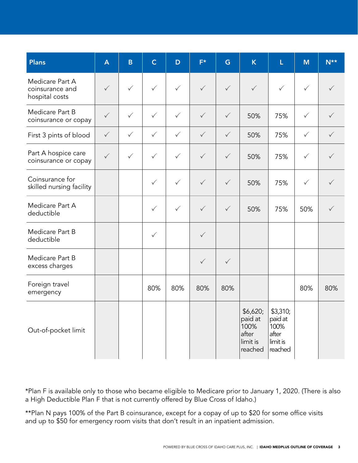| <b>Plans</b>                                         | $\mathbf{A}$ | $\mathsf B$  | $\mathsf{C}$ | D            | $F^*$        | G            | $\overline{\mathsf{K}}$                                     | L                                                           | M            | $N^{\star\star}$ |
|------------------------------------------------------|--------------|--------------|--------------|--------------|--------------|--------------|-------------------------------------------------------------|-------------------------------------------------------------|--------------|------------------|
| Medicare Part A<br>coinsurance and<br>hospital costs | $\checkmark$ | $\checkmark$ | $\checkmark$ | $\checkmark$ | $\checkmark$ | $\checkmark$ | $\checkmark$                                                | $\checkmark$                                                | $\checkmark$ |                  |
| Medicare Part B<br>coinsurance or copay              | $\checkmark$ | $\checkmark$ | $\checkmark$ | $\checkmark$ | $\checkmark$ | $\checkmark$ | 50%                                                         | 75%                                                         | $\checkmark$ |                  |
| First 3 pints of blood                               | $\checkmark$ | $\checkmark$ | $\checkmark$ | $\checkmark$ | $\checkmark$ | $\checkmark$ | 50%                                                         | 75%                                                         | $\checkmark$ | $\checkmark$     |
| Part A hospice care<br>coinsurance or copay          | $\checkmark$ | $\checkmark$ | $\checkmark$ | $\checkmark$ | $\checkmark$ | $\checkmark$ | 50%                                                         | 75%                                                         | $\checkmark$ | $\checkmark$     |
| Coinsurance for<br>skilled nursing facility          |              |              | $\checkmark$ | $\checkmark$ | $\checkmark$ | $\checkmark$ | 50%                                                         | 75%                                                         | $\checkmark$ |                  |
| Medicare Part A<br>deductible                        |              |              | $\checkmark$ | $\checkmark$ | $\checkmark$ | $\checkmark$ | 50%                                                         | 75%                                                         | 50%          |                  |
| Medicare Part B<br>deductible                        |              |              | $\checkmark$ |              | $\checkmark$ |              |                                                             |                                                             |              |                  |
| Medicare Part B<br>excess charges                    |              |              |              |              | $\checkmark$ | $\checkmark$ |                                                             |                                                             |              |                  |
| Foreign travel<br>emergency                          |              |              | 80%          | 80%          | 80%          | 80%          |                                                             |                                                             | 80%          | 80%              |
| Out-of-pocket limit                                  |              |              |              |              |              |              | \$6,620;<br>paid at<br>100%<br>after<br>limit is<br>reached | \$3,310;<br>paid at<br>100%<br>after<br>limit is<br>reached |              |                  |

\*Plan F is available only to those who became eligible to Medicare prior to January 1, 2020. (There is also a High Deductible Plan F that is not currently offered by Blue Cross of Idaho.)

\*\*Plan N pays 100% of the Part B coinsurance, except for a copay of up to \$20 for some office visits and up to \$50 for emergency room visits that don't result in an inpatient admission.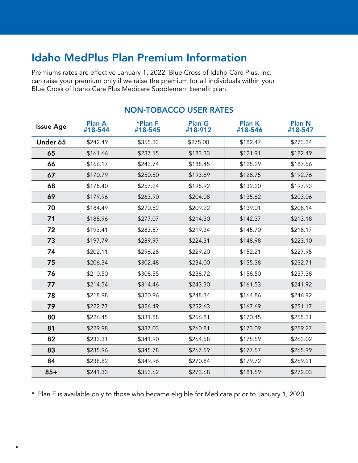### Idaho MedPlus Plan Premium Information

Premiums rates are effective January 1, 2022. Blue Cross of Idaho Care Plus, Inc. can raise your premium only if we raise the premium for all individuals within your Blue Cross of Idaho Care Plus Medicare Supplement benefit plan.

| <b>Issue Age</b> | <b>Plan A</b><br>#18-544 | *Plan F<br>#18-545 | <b>Plan G</b><br>#18-912 | <b>Plan K</b><br>#18-546 | <b>Plan N</b><br>#18-547 |
|------------------|--------------------------|--------------------|--------------------------|--------------------------|--------------------------|
| Under 65         | \$242.49                 | \$355.33           | \$275.00                 | \$182.47                 | \$273.34                 |
| 65               | \$161.66                 | \$237.15           | \$183.33                 | \$121.91                 | \$182.49                 |
| 66               | \$166.17                 | \$243.74           | \$188.45                 | \$125.29                 | \$187.56                 |
| 67               | \$170.79                 | \$250.50           | \$193.69                 | \$128.75                 | \$192.76                 |
| 68               | \$175.40                 | \$257.24           | \$198.92                 | \$132.20                 | \$197.93                 |
| 69               | \$179.96                 | \$263.90           | \$204.08                 | \$135.62                 | \$203.06                 |
| 70               | \$184.49                 | \$270.52           | \$209.22                 | \$139.01                 | \$208.14                 |
| 71               | \$188.96                 | \$277.07           | \$214.30                 | \$142.37                 | \$213.18                 |
| 72               | \$193.41                 | \$283.57           | \$219.34                 | \$145.70                 | \$218.17                 |
| 73               | \$197.79                 | \$289.97           | \$224.31                 | \$148.98                 | \$223.10                 |
| 74               | \$202.11                 | \$296.28           | \$229.20                 | \$152.21                 | \$227.95                 |
| 75               | \$206.34                 | \$302.48           | \$234.00                 | \$155.38                 | \$232.71                 |
| 76               | \$210.50                 | \$308.55           | \$238.72                 | \$158.50                 | \$237.38                 |
| 77               | \$214.54                 | \$314.46           | \$243.30                 | \$161.53                 | \$241.92                 |
| 78               | \$218.98                 | \$320.96           | \$248.34                 | \$164.86                 | \$246.92                 |
| 79               | \$222.77                 | \$326.49           | \$252.63                 | \$167.69                 | \$251.17                 |
| 80               | \$226.45                 | \$331.88           | \$256.81                 | \$170.45                 | \$255.31                 |
| 81               | \$229.98                 | \$337.03           | \$260.81                 | \$173.09                 | \$259.27                 |
| 82               | \$233.31                 | \$341.90           | \$264.58                 | \$175.59                 | \$263.02                 |
| 83               | \$235.96                 | \$345.78           | \$267.59                 | \$177.57                 | \$265.99                 |
| 84               | \$238.82                 | \$349.96           | \$270.84                 | \$179.72                 | \$269.21                 |
| $85+$            | \$241.33                 | \$353.62           | \$273.68                 | \$181.59                 | \$272.03                 |

#### NON-TOBACCO USER RATES

\* Plan F is available only to those who became eligible for Medicare prior to January 1, 2020.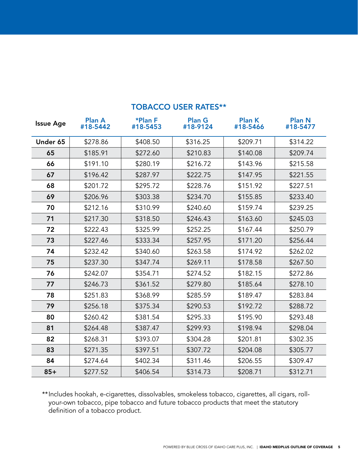| <b>Issue Age</b> | <b>Plan A</b><br>#18-5442 | *Plan F<br>#18-5453 | <b>Plan G</b><br>#18-9124 | <b>Plan K</b><br>#18-5466 | <b>Plan N</b><br>#18-5477 |
|------------------|---------------------------|---------------------|---------------------------|---------------------------|---------------------------|
| Under 65         | \$278.86                  | \$408.50            | \$316.25                  | \$209.71                  | \$314.22                  |
| 65               | \$185.91                  | \$272.60            | \$210.83                  | \$140.08                  | \$209.74                  |
| 66               | \$191.10                  | \$280.19            | \$216.72                  | \$143.96                  | \$215.58                  |
| 67               | \$196.42                  | \$287.97            | \$222.75                  | \$147.95                  | \$221.55                  |
| 68               | \$201.72                  | \$295.72            | \$228.76                  | \$151.92                  | \$227.51                  |
| 69               | \$206.96                  | \$303.38            | \$234.70                  | \$155.85                  | \$233.40                  |
| 70               | \$212.16                  | \$310.99            | \$240.60                  | \$159.74                  | \$239.25                  |
| 71               | \$217.30                  | \$318.50            | \$246.43                  | \$163.60                  | \$245.03                  |
| 72               | \$222.43                  | \$325.99            | \$252.25                  | \$167.44                  | \$250.79                  |
| 73               | \$227.46                  | \$333.34            | \$257.95                  | \$171.20                  | \$256.44                  |
| 74               | \$232.42                  | \$340.60            | \$263.58                  | \$174.92                  | \$262.02                  |
| 75               | \$237.30                  | \$347.74            | \$269.11                  | \$178.58                  | \$267.50                  |
| 76               | \$242.07                  | \$354.71            | \$274.52                  | \$182.15                  | \$272.86                  |
| 77               | \$246.73                  | \$361.52            | \$279.80                  | \$185.64                  | \$278.10                  |
| 78               | \$251.83                  | \$368.99            | \$285.59                  | \$189.47                  | \$283.84                  |
| 79               | \$256.18                  | \$375.34            | \$290.53                  | \$192.72                  | \$288.72                  |
| 80               | \$260.42                  | \$381.54            | \$295.33                  | \$195.90                  | \$293.48                  |
| 81               | \$264.48                  | \$387.47            | \$299.93                  | \$198.94                  | \$298.04                  |
| 82               | \$268.31                  | \$393.07            | \$304.28                  | \$201.81                  | \$302.35                  |
| 83               | \$271.35                  | \$397.51            | \$307.72                  | \$204.08                  | \$305.77                  |
| 84               | \$274.64                  | \$402.34            | \$311.46                  | \$206.55                  | \$309.47                  |
| $85+$            | \$277.52                  | \$406.54            | \$314.73                  | \$208.71                  | \$312.71                  |

#### TOBACCO USER RATES\*\*

\*\*Includes hookah, e-cigarettes, dissolvables, smokeless tobacco, cigarettes, all cigars, rollyour-own tobacco, pipe tobacco and future tobacco products that meet the statutory definition of a tobacco product.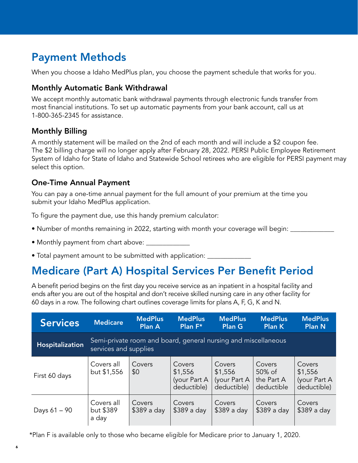## Payment Methods

When you choose a Idaho MedPlus plan, you choose the payment schedule that works for you.

#### Monthly Automatic Bank Withdrawal

We accept monthly automatic bank withdrawal payments through electronic funds transfer from most financial institutions. To set up automatic payments from your bank account, call us at 1-800-365-2345 for assistance.

#### Monthly Billing

A monthly statement will be mailed on the 2nd of each month and will include a \$2 coupon fee. The \$2 billing charge will no longer apply after February 28, 2022. PERSI Public Employee Retirement System of Idaho for State of Idaho and Statewide School retirees who are eligible for PERSI payment may select this option.

#### One-Time Annual Payment

You can pay a one-time annual payment for the full amount of your premium at the time you submit your Idaho MedPlus application.

To figure the payment due, use this handy premium calculator:

- Number of months remaining in 2022, starting with month your coverage will begin:
- Monthly payment from chart above: \_
- Total payment amount to be submitted with application:

### Medicare (Part A) Hospital Services Per Benefit Period

A benefit period begins on the first day you receive service as an inpatient in a hospital facility and ends after you are out of the hospital and don't receive skilled nursing care in any other facility for 60 days in a row. The following chart outlines coverage limits for plans A, F, G, K and N.

| <b>Services</b> | <b>Medicare</b>                  | <b>MedPlus</b><br><b>Plan A</b>                                | <b>MedPlus</b><br>Plan $F^*$                     | <b>MedPlus</b><br><b>Plan G</b>                  | <b>MedPlus</b><br>Plan K                     | <b>MedPlus</b><br><b>Plan N</b>                  |
|-----------------|----------------------------------|----------------------------------------------------------------|--------------------------------------------------|--------------------------------------------------|----------------------------------------------|--------------------------------------------------|
| Hospitalization | services and supplies            | Semi-private room and board, general nursing and miscellaneous |                                                  |                                                  |                                              |                                                  |
| First 60 days   | Covers all<br>but \$1,556        | Covers<br>\$0                                                  | Covers<br>\$1,556<br>(your Part A<br>deductible) | Covers<br>\$1,556<br>(your Part A<br>deductible) | Covers<br>50% of<br>the Part A<br>deductible | Covers<br>\$1,556<br>(your Part A<br>deductible) |
| Days $61 - 90$  | Covers all<br>but \$389<br>a day | Covers<br>\$389 a day                                          | Covers<br>\$389 a day                            | Covers<br>\$389 a day                            | Covers<br>\$389 a day                        | Covers<br>\$389 a day                            |

\*Plan F is available only to those who became eligible for Medicare prior to January 1, 2020.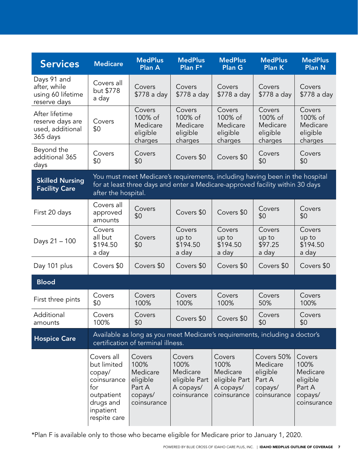| <b>Services</b>                                                    | <b>Medicare</b>                                                                                                   | <b>MedPlus</b><br><b>Plan A</b>                                            | <b>MedPlus</b><br>Plan F*                                               | <b>MedPlus</b><br>Plan G                                                                                                                                      | <b>MedPlus</b><br><b>Plan K</b>                                        | <b>MedPlus</b><br><b>Plan N</b>                                            |
|--------------------------------------------------------------------|-------------------------------------------------------------------------------------------------------------------|----------------------------------------------------------------------------|-------------------------------------------------------------------------|---------------------------------------------------------------------------------------------------------------------------------------------------------------|------------------------------------------------------------------------|----------------------------------------------------------------------------|
| Days 91 and<br>after, while<br>using 60 lifetime<br>reserve days   | Covers all<br>but \$778<br>a day                                                                                  | Covers<br>\$778 a day                                                      | Covers<br>\$778 a day                                                   | Covers<br>\$778 a day                                                                                                                                         | Covers<br>\$778 a day                                                  | Covers<br>\$778 a day                                                      |
| After lifetime<br>reserve days are<br>used, additional<br>365 days | Covers<br>\$0                                                                                                     | Covers<br>100% of<br>Medicare<br>eligible<br>charges                       | Covers<br>100% of<br>Medicare<br>eligible<br>charges                    | Covers<br>100% of<br>Medicare<br>eligible<br>charges                                                                                                          | Covers<br>100% of<br>Medicare<br>eligible<br>charges                   | Covers<br>100% of<br>Medicare<br>eligible<br>charges                       |
| Beyond the<br>additional 365<br>days                               | Covers<br>\$0                                                                                                     | Covers<br>\$0                                                              | Covers \$0                                                              | Covers \$0                                                                                                                                                    | Covers<br>\$0                                                          | Covers<br>\$0                                                              |
| <b>Skilled Nursing</b><br><b>Facility Care</b>                     | after the hospital.                                                                                               |                                                                            |                                                                         | You must meet Medicare's requirements, including having been in the hospital<br>for at least three days and enter a Medicare-approved facility within 30 days |                                                                        |                                                                            |
| First 20 days                                                      | Covers all<br>approved<br>amounts                                                                                 | Covers<br>\$0                                                              | Covers \$0                                                              | Covers \$0                                                                                                                                                    | Covers<br>\$0                                                          | Covers<br>\$0                                                              |
| Days 21 - 100                                                      | Covers<br>all but<br>\$194.50<br>a day                                                                            | Covers<br>\$0                                                              | Covers<br>up to<br>\$194.50<br>a day                                    | Covers<br>up to<br>\$194.50<br>a day                                                                                                                          | Covers<br>up to<br>\$97.25<br>a day                                    | Covers<br>up to<br>\$194.50<br>a day                                       |
| Day 101 plus                                                       | Covers \$0                                                                                                        | Covers \$0                                                                 | Covers \$0                                                              | Covers \$0                                                                                                                                                    | Covers \$0                                                             | Covers \$0                                                                 |
| <b>Blood</b>                                                       |                                                                                                                   |                                                                            |                                                                         |                                                                                                                                                               |                                                                        |                                                                            |
| First three pints                                                  | Covers<br>\$0                                                                                                     | Covers<br>100%                                                             | Covers<br>100%                                                          | Covers<br>100%                                                                                                                                                | Covers<br>50%                                                          | Covers<br>100%                                                             |
| Additional<br>amounts                                              | Covers<br>100%                                                                                                    | Covers<br>\$0                                                              | Covers \$0                                                              | Covers \$0                                                                                                                                                    | Covers<br>\$0                                                          | Covers<br>\$0                                                              |
| <b>Hospice Care</b>                                                |                                                                                                                   | certification of terminal illness.                                         |                                                                         | Available as long as you meet Medicare's requirements, including a doctor's                                                                                   |                                                                        |                                                                            |
|                                                                    | Covers all<br>but limited<br>copay/<br>coinsurance<br>for<br>outpatient<br>drugs and<br>inpatient<br>respite care | Covers<br>100%<br>Medicare<br>eligible<br>Part A<br>copays/<br>coinsurance | Covers<br>100%<br>Medicare<br>eligible Part<br>A copays/<br>coinsurance | Covers<br>100%<br>Medicare<br>eligible Part<br>A copays/<br>coinsurance                                                                                       | Covers 50%<br>Medicare<br>eligible<br>Part A<br>copays/<br>coinsurance | Covers<br>100%<br>Medicare<br>eligible<br>Part A<br>copays/<br>coinsurance |

\*Plan F is available only to those who became eligible for Medicare prior to January 1, 2020.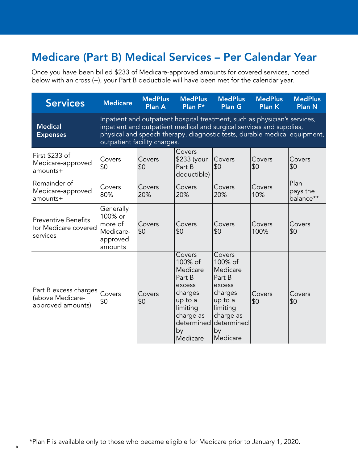## Medicare (Part B) Medical Services – Per Calendar Year

Once you have been billed \$233 of Medicare-approved amounts for covered services, noted below with an cross (+), your Part B deductible will have been met for the calendar year.

| <b>Services</b>                                                | <b>Medicare</b>                                                                                                                                                                                                                                                 | <b>MedPlus</b><br><b>Plan A</b> | <b>MedPlus</b><br>Plan F*                                                                                                        | <b>MedPlus</b><br><b>Plan G</b>                                                                                                  | <b>MedPlus</b><br><b>Plan K</b> | <b>MedPlus</b><br><b>Plan N</b> |  |  |
|----------------------------------------------------------------|-----------------------------------------------------------------------------------------------------------------------------------------------------------------------------------------------------------------------------------------------------------------|---------------------------------|----------------------------------------------------------------------------------------------------------------------------------|----------------------------------------------------------------------------------------------------------------------------------|---------------------------------|---------------------------------|--|--|
| <b>Medical</b><br><b>Expenses</b>                              | Inpatient and outpatient hospital treatment, such as physician's services,<br>inpatient and outpatient medical and surgical services and supplies,<br>physical and speech therapy, diagnostic tests, durable medical equipment,<br>outpatient facility charges. |                                 |                                                                                                                                  |                                                                                                                                  |                                 |                                 |  |  |
| First \$233 of<br>Medicare-approved<br>amounts+                | Covers<br>\$0                                                                                                                                                                                                                                                   | Covers<br>\$0                   | Covers<br>\$233 (your<br>Part B<br>deductible)                                                                                   | Covers<br>\$0                                                                                                                    | Covers<br>\$0                   | Covers<br>\$0                   |  |  |
| Remainder of<br>Medicare-approved<br>amounts+                  | Covers<br>80%                                                                                                                                                                                                                                                   | Covers<br>20%                   | Covers<br>20%                                                                                                                    | Covers<br>20%                                                                                                                    | Covers<br>10%                   | Plan<br>pays the<br>balance**   |  |  |
| <b>Preventive Benefits</b><br>for Medicare covered<br>services | Generally<br>100% or<br>more of<br>Medicare-<br>approved<br>amounts                                                                                                                                                                                             | Covers<br>\$0                   | Covers<br>\$0                                                                                                                    | Covers<br>\$0                                                                                                                    | Covers<br>100%                  | Covers<br>\$0                   |  |  |
| Part B excess charges<br>(above Medicare-<br>approved amounts) | Covers<br>\$0                                                                                                                                                                                                                                                   | Covers<br>\$0                   | Covers<br>100% of<br>Medicare<br>Part B<br>excess<br>charges<br>up to a<br>limiting<br>charge as<br>determined<br>by<br>Medicare | Covers<br>100% of<br>Medicare<br>Part B<br>excess<br>charges<br>up to a<br>limiting<br>charge as<br>determined<br>by<br>Medicare | Covers<br>\$0                   | Covers<br>\$0                   |  |  |

\*Plan F is available only to those who became eligible for Medicare prior to January 1, 2020.

8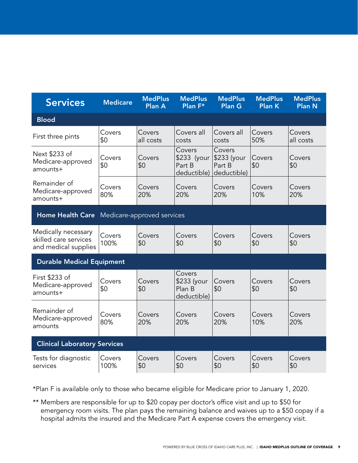| <b>Services</b>                                                      | <b>Medicare</b> | <b>MedPlus</b><br>Plan A   | <b>MedPlus</b><br>Plan F*                      | <b>MedPlus</b><br><b>Plan G</b>                | <b>MedPlus</b><br><b>Plan K</b> | <b>MedPlus</b><br><b>Plan N</b> |
|----------------------------------------------------------------------|-----------------|----------------------------|------------------------------------------------|------------------------------------------------|---------------------------------|---------------------------------|
| <b>Blood</b>                                                         |                 |                            |                                                |                                                |                                 |                                 |
| First three pints                                                    | Covers<br>\$0   | Covers<br>all costs        | Covers all<br>costs                            | Covers all<br>costs                            | Covers<br>50%                   | Covers<br>all costs             |
| Next \$233 of<br>Medicare-approved<br>amounts+                       | Covers<br>\$0   | Covers<br>\$0              | Covers<br>\$233 (your<br>Part B<br>deductible) | Covers<br>\$233 (your<br>Part B<br>deductible) | Covers<br>\$0                   | Covers<br>\$0                   |
| Remainder of<br>Medicare-approved<br>amounts+                        | Covers<br>80%   | Covers<br>20%              | Covers<br>20%                                  | Covers<br>20%                                  | Covers<br>10%                   | Covers<br>20%                   |
| <b>Home Health Care</b>                                              |                 | Medicare-approved services |                                                |                                                |                                 |                                 |
| Medically necessary<br>skilled care services<br>and medical supplies | Covers<br>100%  | Covers<br>\$0              | Covers<br>\$0                                  | Covers<br>\$0                                  | Covers<br>\$0                   | Covers<br>\$0                   |
| <b>Durable Medical Equipment</b>                                     |                 |                            |                                                |                                                |                                 |                                 |
| First \$233 of<br>Medicare-approved<br>amounts+                      | Covers<br>\$0   | Covers<br>\$0              | Covers<br>\$233 (your<br>Plan B<br>deductible) | Covers<br>\$0                                  | Covers<br>\$0                   | Covers<br>\$0                   |
| Remainder of<br>Medicare-approved<br>amounts                         | Covers<br>80%   | Covers<br>20%              | Covers<br>20%                                  | Covers<br>20%                                  | Covers<br>10%                   | Covers<br>20%                   |
| <b>Clinical Laboratory Services</b>                                  |                 |                            |                                                |                                                |                                 |                                 |
| Tests for diagnostic<br>services                                     | Covers<br>100%  | Covers<br>\$0              | Covers<br>\$0                                  | Covers<br>\$0                                  | Covers<br>\$0                   | Covers<br>\$0                   |

\*Plan F is available only to those who became eligible for Medicare prior to January 1, 2020.

\*\* Members are responsible for up to \$20 copay per doctor's office visit and up to \$50 for emergency room visits. The plan pays the remaining balance and waives up to a \$50 copay if a hospital admits the insured and the Medicare Part A expense covers the emergency visit.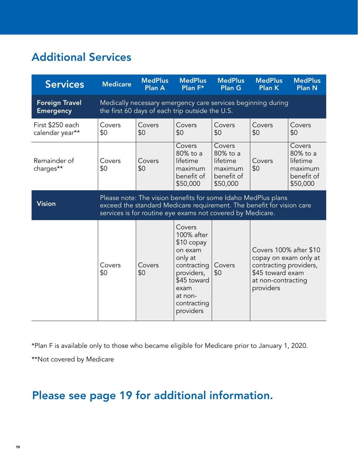## Additional Services

| <b>Services</b>                           | <b>Medicare</b>                                                                                                                                                                                      | <b>MedPlus</b><br><b>Plan A</b> | <b>MedPlus</b><br>Plan F*                                                                                                                            | <b>MedPlus</b><br><b>Plan G</b>                                     | <b>MedPlus</b><br><b>Plan K</b>                                                                                                  | <b>MedPlus</b><br><b>Plan N</b>                                     |  |  |
|-------------------------------------------|------------------------------------------------------------------------------------------------------------------------------------------------------------------------------------------------------|---------------------------------|------------------------------------------------------------------------------------------------------------------------------------------------------|---------------------------------------------------------------------|----------------------------------------------------------------------------------------------------------------------------------|---------------------------------------------------------------------|--|--|
| <b>Foreign Travel</b><br><b>Emergency</b> | Medically necessary emergency care services beginning during<br>the first 60 days of each trip outside the U.S.                                                                                      |                                 |                                                                                                                                                      |                                                                     |                                                                                                                                  |                                                                     |  |  |
| First \$250 each<br>calendar year**       | Covers<br>\$0                                                                                                                                                                                        | Covers<br>\$0                   | Covers<br>\$0                                                                                                                                        | Covers<br>\$0                                                       | Covers<br>\$0                                                                                                                    | Covers<br>\$0                                                       |  |  |
| Remainder of<br>charges**                 | Covers<br>\$0                                                                                                                                                                                        | Covers<br>\$0                   | Covers<br>80% to a<br>lifetime<br>maximum<br>benefit of<br>\$50,000                                                                                  | Covers<br>80% to a<br>lifetime<br>maximum<br>benefit of<br>\$50,000 | Covers<br>\$0                                                                                                                    | Covers<br>80% to a<br>lifetime<br>maximum<br>benefit of<br>\$50,000 |  |  |
| <b>Vision</b>                             | Please note: The vision benefits for some Idaho MedPlus plans<br>exceed the standard Medicare requirement. The benefit for vision care<br>services is for routine eye exams not covered by Medicare. |                                 |                                                                                                                                                      |                                                                     |                                                                                                                                  |                                                                     |  |  |
|                                           | Covers<br>\$0                                                                                                                                                                                        | Covers<br>\$0                   | Covers<br>100% after<br>$$10$ copay<br>on exam<br>only at<br>contracting<br>providers,<br>\$45 toward<br>exam<br>at non-<br>contracting<br>providers | Covers<br>\$0                                                       | Covers 100% after \$10<br>copay on exam only at<br>contracting providers,<br>\$45 toward exam<br>at non-contracting<br>providers |                                                                     |  |  |

\*Plan F is available only to those who became eligible for Medicare prior to January 1, 2020.

\*\*Not covered by Medicare

## Please see page 19 for additional information.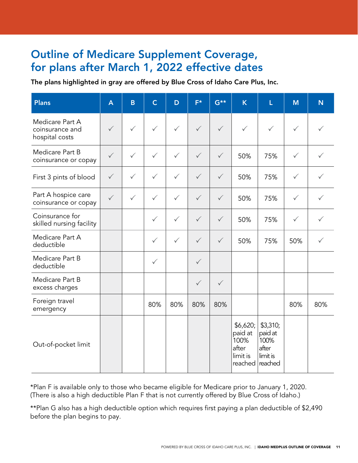#### Outline of Medicare Supplement Coverage, for plans after March 1, 2022 effective dates

The plans highlighted in gray are offered by Blue Cross of Idaho Care Plus, Inc.

| <b>Plans</b>                                         | $\overline{\mathsf{A}}$ | $\overline{B}$ | $\mathsf{C}$ | D            | $F^*$        | $G^{\star\star}$ | $\overline{\mathsf{K}}$                                             | Ĺ                                                | M            | N   |
|------------------------------------------------------|-------------------------|----------------|--------------|--------------|--------------|------------------|---------------------------------------------------------------------|--------------------------------------------------|--------------|-----|
| Medicare Part A<br>coinsurance and<br>hospital costs | $\checkmark$            | $\checkmark$   | $\checkmark$ | $\checkmark$ | $\checkmark$ | $\checkmark$     | ✓                                                                   | $\checkmark$                                     | $\checkmark$ |     |
| Medicare Part B<br>coinsurance or copay              | $\checkmark$            | $\checkmark$   | $\checkmark$ | $\checkmark$ | $\checkmark$ | $\checkmark$     | 50%                                                                 | 75%                                              | $\checkmark$ | ✓   |
| First 3 pints of blood                               | $\checkmark$            | $\checkmark$   | $\checkmark$ | $\checkmark$ | $\checkmark$ | $\checkmark$     | 50%                                                                 | 75%                                              | $\checkmark$ | ✓   |
| Part A hospice care<br>coinsurance or copay          | $\checkmark$            | $\checkmark$   | $\checkmark$ | $\checkmark$ | $\checkmark$ | $\checkmark$     | 50%                                                                 | 75%                                              | $\checkmark$ |     |
| Coinsurance for<br>skilled nursing facility          |                         |                | $\checkmark$ | $\checkmark$ | $\checkmark$ | $\checkmark$     | 50%                                                                 | 75%                                              | $\checkmark$ |     |
| Medicare Part A<br>deductible                        |                         |                | $\checkmark$ | $\checkmark$ | $\checkmark$ | $\checkmark$     | 50%                                                                 | 75%                                              | 50%          | ✓   |
| Medicare Part B<br>deductible                        |                         |                | $\checkmark$ |              | $\checkmark$ |                  |                                                                     |                                                  |              |     |
| Medicare Part B<br>excess charges                    |                         |                |              |              | $\checkmark$ | $\checkmark$     |                                                                     |                                                  |              |     |
| Foreign travel<br>emergency                          |                         |                | 80%          | 80%          | 80%          | 80%              |                                                                     |                                                  | 80%          | 80% |
| Out-of-pocket limit                                  |                         |                |              |              |              |                  | \$6,620;<br>paid at<br>100%<br>after<br>limit is<br>reached reached | \$3,310;<br>paid at<br>100%<br>after<br>limit is |              |     |

\*Plan F is available only to those who became eligible for Medicare prior to January 1, 2020. (There is also a high deductible Plan F that is not currently offered by Blue Cross of Idaho.)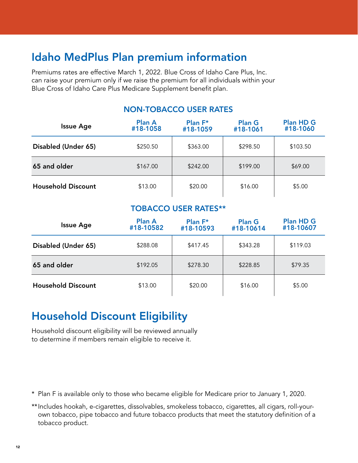## Idaho MedPlus Plan premium information

Premiums rates are effective March 1, 2022. Blue Cross of Idaho Care Plus, Inc. can raise your premium only if we raise the premium for all individuals within your Blue Cross of Idaho Care Plus Medicare Supplement benefit plan.

| <b>Issue Age</b>          | <b>Plan A</b><br>#18-1058 | Plan F*<br>#18-1059 | <b>Plan G</b><br>#18-1061 | <b>Plan HD G</b><br>#18-1060 |
|---------------------------|---------------------------|---------------------|---------------------------|------------------------------|
| Disabled (Under 65)       | \$250.50                  | \$363.00            | \$298.50                  | \$103.50                     |
| 65 and older              | \$167.00                  | \$242.00            | \$199.00                  | \$69.00                      |
| <b>Household Discount</b> | \$13.00                   | \$20.00             | \$16.00                   | \$5.00                       |

#### NON-TOBACCO USER RATES

#### TOBACCO USER RATES\*\*

| <b>Issue Age</b>          | <b>Plan A</b><br>#18-10582 | <b>Plan <math>F^*</math></b><br>#18-10593 | <b>Plan G</b><br>#18-10614 | <b>Plan HD G</b><br>#18-10607 |
|---------------------------|----------------------------|-------------------------------------------|----------------------------|-------------------------------|
| Disabled (Under 65)       | \$288.08                   | \$417.45                                  | \$343.28                   | \$119.03                      |
| 65 and older              | \$192.05                   | \$278.30                                  | \$228.85                   | \$79.35                       |
| <b>Household Discount</b> | \$13.00                    | \$20.00                                   | \$16.00                    | \$5.00                        |

## Household Discount Eligibility

Household discount eligibility will be reviewed annually to determine if members remain eligible to receive it.

- \* Plan F is available only to those who became eligible for Medicare prior to January 1, 2020.
- \*\*Includes hookah, e-cigarettes, dissolvables, smokeless tobacco, cigarettes, all cigars, roll-yourown tobacco, pipe tobacco and future tobacco products that meet the statutory definition of a tobacco product.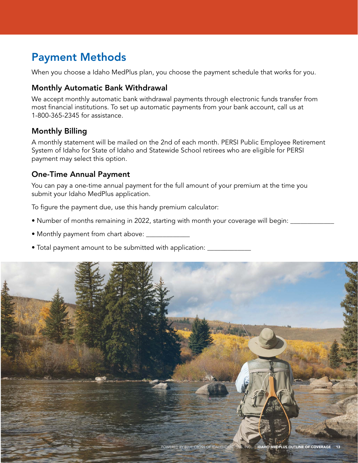## Payment Methods

When you choose a Idaho MedPlus plan, you choose the payment schedule that works for you.

#### Monthly Automatic Bank Withdrawal

We accept monthly automatic bank withdrawal payments through electronic funds transfer from most financial institutions. To set up automatic payments from your bank account, call us at 1-800-365-2345 for assistance.

#### Monthly Billing

A monthly statement will be mailed on the 2nd of each month. PERSI Public Employee Retirement System of Idaho for State of Idaho and Statewide School retirees who are eligible for PERSI payment may select this option.

#### One-Time Annual Payment

You can pay a one-time annual payment for the full amount of your premium at the time you submit your Idaho MedPlus application.

To figure the payment due, use this handy premium calculator:

- Number of months remaining in 2022, starting with month your coverage will begin:
- Monthly payment from chart above: \_\_\_\_\_\_\_\_\_\_\_\_\_
- Total payment amount to be submitted with application: \_\_\_\_\_\_\_\_\_\_\_\_\_\_\_\_\_\_\_\_\_\_\_

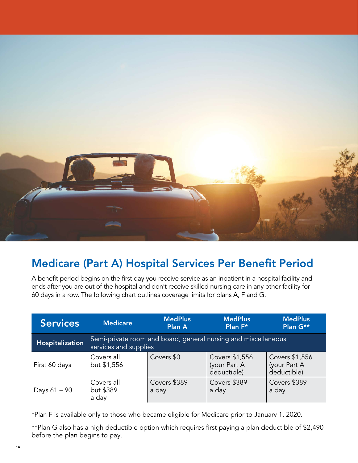

### Medicare (Part A) Hospital Services Per Benefit Period

A benefit period begins on the first day you receive service as an inpatient in a hospital facility and ends after you are out of the hospital and don't receive skilled nursing care in any other facility for 60 days in a row. The following chart outlines coverage limits for plans A, F and G.

| <b>Services</b> | <b>Medicare</b>                                                                         | <b>MedPlus</b><br>Plan A | <b>MedPlus</b><br>Plan F*                     | <b>MedPlus</b><br>Plan G**                    |  |  |  |
|-----------------|-----------------------------------------------------------------------------------------|--------------------------|-----------------------------------------------|-----------------------------------------------|--|--|--|
| Hospitalization | Semi-private room and board, general nursing and miscellaneous<br>services and supplies |                          |                                               |                                               |  |  |  |
| First 60 days   | Covers all<br>but \$1,556                                                               | Covers \$0               | Covers \$1,556<br>(your Part A<br>deductible) | Covers \$1,556<br>(your Part A<br>deductible) |  |  |  |
| Days $61 - 90$  | Covers all<br>but \$389<br>a day                                                        | Covers \$389<br>a day    | Covers \$389<br>a day                         | Covers \$389<br>a day                         |  |  |  |

\*Plan F is available only to those who became eligible for Medicare prior to January 1, 2020.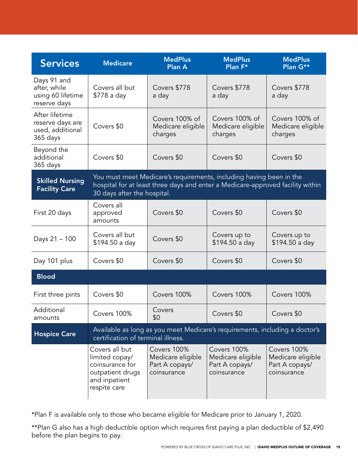| <b>Services</b>                                                    | <b>Medicare</b>                                                                                                                                                                      | <b>MedPlus</b><br><b>Plan A</b>                                   | <b>MedPlus</b><br>Plan F*                                                   | <b>MedPlus</b><br>Plan G**                                        |
|--------------------------------------------------------------------|--------------------------------------------------------------------------------------------------------------------------------------------------------------------------------------|-------------------------------------------------------------------|-----------------------------------------------------------------------------|-------------------------------------------------------------------|
| Days 91 and<br>after, while<br>using 60 lifetime<br>reserve days   | Covers all but<br>\$778 a day                                                                                                                                                        | Covers \$778<br>a day                                             | Covers \$778<br>a day                                                       | Covers \$778<br>a day                                             |
| After lifetime<br>reserve days are<br>used, additional<br>365 days | Covers \$0                                                                                                                                                                           | Covers 100% of<br>Medicare eligible<br>charges                    | Covers 100% of<br>Medicare eligible<br>charges                              | Covers 100% of<br>Medicare eligible<br>charges                    |
| Beyond the<br>additional<br>365 days                               | Covers \$0                                                                                                                                                                           | Covers \$0                                                        | Covers \$0                                                                  | Covers \$0                                                        |
| <b>Skilled Nursing</b><br><b>Facility Care</b>                     | You must meet Medicare's requirements, including having been in the<br>hospital for at least three days and enter a Medicare-approved facility within<br>30 days after the hospital. |                                                                   |                                                                             |                                                                   |
| First 20 days                                                      | Covers all<br>approved<br>amounts                                                                                                                                                    | Covers \$0                                                        | Covers \$0                                                                  | Covers \$0                                                        |
| Days 21 - 100                                                      | Covers all but<br>\$194.50 a day                                                                                                                                                     | Covers \$0                                                        | Covers up to<br>\$194.50 a day                                              | Covers up to<br>\$194.50 a day                                    |
| Day 101 plus                                                       | Covers \$0                                                                                                                                                                           | Covers \$0                                                        | Covers \$0                                                                  | Covers \$0                                                        |
| <b>Blood</b>                                                       |                                                                                                                                                                                      |                                                                   |                                                                             |                                                                   |
| First three pints                                                  | Covers \$0                                                                                                                                                                           | Covers 100%                                                       | Covers 100%                                                                 | Covers 100%                                                       |
| Additional<br>amounts                                              | Covers 100%                                                                                                                                                                          | Covers<br>\$0                                                     | Covers \$0                                                                  | Covers \$0                                                        |
| <b>Hospice Care</b>                                                | certification of terminal illness.                                                                                                                                                   |                                                                   | Available as long as you meet Medicare's requirements, including a doctor's |                                                                   |
|                                                                    | Covers all but<br>limited copay/<br>coinsurance for<br>outpatient drugs<br>and inpatient<br>respite care                                                                             | Covers 100%<br>Medicare eligible<br>Part A copays/<br>coinsurance | Covers 100%<br>Medicare eligible<br>Part A copays/<br>coinsurance           | Covers 100%<br>Medicare eligible<br>Part A copays/<br>coinsurance |

\*Plan F is available only to those who became eligible for Medicare prior to January 1, 2020.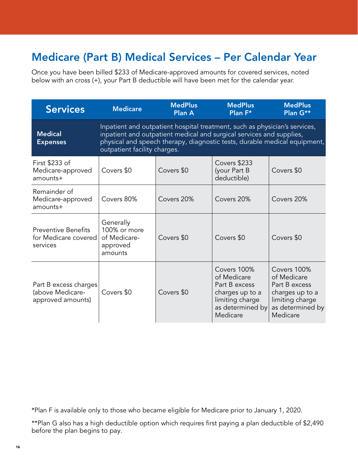## Medicare (Part B) Medical Services – Per Calendar Year

Once you have been billed \$233 of Medicare-approved amounts for covered services, noted below with an cross (+), your Part B deductible will have been met for the calendar year.

| <b>Services</b>                                                | <b>Medicare</b>                                                                                                                                                                                                                                                 | <b>MedPlus</b><br><b>Plan A</b> | <b>MedPlus</b><br>Plan F*                                                                                         | <b>MedPlus</b><br>Plan G**                                                                                        |  |
|----------------------------------------------------------------|-----------------------------------------------------------------------------------------------------------------------------------------------------------------------------------------------------------------------------------------------------------------|---------------------------------|-------------------------------------------------------------------------------------------------------------------|-------------------------------------------------------------------------------------------------------------------|--|
| <b>Medical</b><br><b>Expenses</b>                              | Inpatient and outpatient hospital treatment, such as physician's services,<br>inpatient and outpatient medical and surgical services and supplies,<br>physical and speech therapy, diagnostic tests, durable medical equipment,<br>outpatient facility charges. |                                 |                                                                                                                   |                                                                                                                   |  |
| First \$233 of<br>Medicare-approved<br>amounts+                | Covers \$0                                                                                                                                                                                                                                                      | Covers \$0                      | Covers \$233<br>(your Part B<br>deductible)                                                                       | Covers \$0                                                                                                        |  |
| Remainder of<br>Medicare-approved<br>amounts+                  | Covers 80%                                                                                                                                                                                                                                                      | Covers 20%                      | Covers 20%                                                                                                        | Covers 20%                                                                                                        |  |
| <b>Preventive Benefits</b><br>for Medicare covered<br>services | Generally<br>100% or more<br>of Medicare-<br>approved<br>amounts                                                                                                                                                                                                | Covers \$0                      | Covers \$0                                                                                                        | Covers \$0                                                                                                        |  |
| Part B excess charges<br>(above Medicare-<br>approved amounts) | Covers \$0                                                                                                                                                                                                                                                      | Covers \$0                      | Covers 100%<br>of Medicare<br>Part B excess<br>charges up to a<br>limiting charge<br>as determined by<br>Medicare | Covers 100%<br>of Medicare<br>Part B excess<br>charges up to a<br>limiting charge<br>as determined by<br>Medicare |  |

\*Plan F is available only to those who became eligible for Medicare prior to January 1, 2020.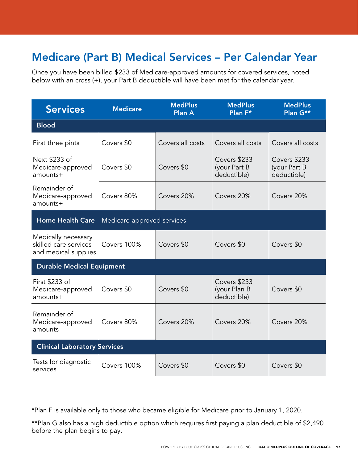## Medicare (Part B) Medical Services – Per Calendar Year

Once you have been billed \$233 of Medicare-approved amounts for covered services, noted below with an cross (+), your Part B deductible will have been met for the calendar year.

| <b>Services</b>                                                      | <b>Medicare</b>            | <b>MedPlus</b><br><b>Plan A</b> | <b>MedPlus</b><br><b>Plan <math>F^*</math></b> | <b>MedPlus</b><br>Plan G**                  |  |
|----------------------------------------------------------------------|----------------------------|---------------------------------|------------------------------------------------|---------------------------------------------|--|
| <b>Blood</b>                                                         |                            |                                 |                                                |                                             |  |
| First three pints                                                    | Covers \$0                 | Covers all costs                | Covers all costs                               | Covers all costs                            |  |
| Next \$233 of<br>Medicare-approved<br>amounts+                       | Covers \$0                 | Covers \$0                      | Covers \$233<br>(your Part B<br>deductible)    | Covers \$233<br>(your Part B<br>deductible) |  |
| Remainder of<br>Medicare-approved<br>amounts+                        | Covers 80%                 | Covers 20%                      | Covers 20%                                     | Covers 20%                                  |  |
| <b>Home Health Care</b>                                              | Medicare-approved services |                                 |                                                |                                             |  |
| Medically necessary<br>skilled care services<br>and medical supplies | Covers 100%                | Covers \$0                      | Covers \$0                                     | Covers \$0                                  |  |
| <b>Durable Medical Equipment</b>                                     |                            |                                 |                                                |                                             |  |
| First \$233 of<br>Medicare-approved<br>amounts+                      | Covers \$0                 | Covers \$0                      | Covers \$233<br>(your Plan B<br>deductible)    | Covers \$0                                  |  |
| Remainder of<br>Medicare-approved<br>amounts                         | Covers 80%                 | Covers 20%                      | Covers 20%                                     | Covers 20%                                  |  |
| <b>Clinical Laboratory Services</b>                                  |                            |                                 |                                                |                                             |  |
| Tests for diagnostic<br>services                                     | Covers 100%                | Covers \$0                      | Covers \$0                                     | Covers \$0                                  |  |

\*Plan F is available only to those who became eligible for Medicare prior to January 1, 2020.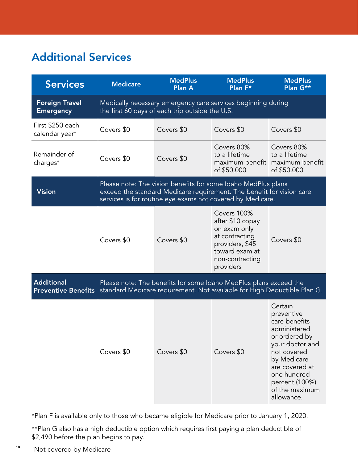## Additional Services

| <b>Services</b>                                 | <b>Medicare</b>                                                                                                                                                                                      | <b>MedPlus</b><br>Plan A                        | <b>MedPlus</b><br>Plan F*                                                                                                                     | <b>MedPlus</b><br>Plan G**                                                                                                                                                                                  |
|-------------------------------------------------|------------------------------------------------------------------------------------------------------------------------------------------------------------------------------------------------------|-------------------------------------------------|-----------------------------------------------------------------------------------------------------------------------------------------------|-------------------------------------------------------------------------------------------------------------------------------------------------------------------------------------------------------------|
| <b>Foreign Travel</b><br><b>Emergency</b>       |                                                                                                                                                                                                      | the first 60 days of each trip outside the U.S. | Medically necessary emergency care services beginning during                                                                                  |                                                                                                                                                                                                             |
| First \$250 each<br>calendar year <sup>+</sup>  | Covers \$0                                                                                                                                                                                           | Covers \$0                                      | Covers \$0                                                                                                                                    | Covers \$0                                                                                                                                                                                                  |
| Remainder of<br>charges <sup>+</sup>            | Covers \$0                                                                                                                                                                                           | Covers \$0                                      | Covers 80%<br>to a lifetime<br>maximum benefit<br>of \$50,000                                                                                 | Covers 80%<br>to a lifetime<br>maximum benefit<br>of \$50,000                                                                                                                                               |
| <b>Vision</b>                                   | Please note: The vision benefits for some Idaho MedPlus plans<br>exceed the standard Medicare requirement. The benefit for vision care<br>services is for routine eye exams not covered by Medicare. |                                                 |                                                                                                                                               |                                                                                                                                                                                                             |
|                                                 | Covers \$0                                                                                                                                                                                           | Covers \$0                                      | Covers 100%<br>after \$10 copay<br>on exam only<br>at contracting<br>providers, \$45<br>toward exam at<br>non-contracting<br>providers        | Covers \$0                                                                                                                                                                                                  |
| <b>Additional</b><br><b>Preventive Benefits</b> |                                                                                                                                                                                                      |                                                 | Please note: The benefits for some Idaho MedPlus plans exceed the<br>standard Medicare requirement. Not available for High Deductible Plan G. |                                                                                                                                                                                                             |
|                                                 | Covers \$0                                                                                                                                                                                           | Covers \$0                                      | Covers \$0                                                                                                                                    | Certain<br>preventive<br>care benefits<br>administered<br>or ordered by<br>your doctor and<br>not covered<br>by Medicare<br>are covered at<br>one hundred<br>percent (100%)<br>of the maximum<br>allowance. |

\*Plan F is available only to those who became eligible for Medicare prior to January 1, 2020.

\*\*Plan G also has a high deductible option which requires first paying a plan deductible of \$2,490 before the plan begins to pay.

18 +Not covered by Medicare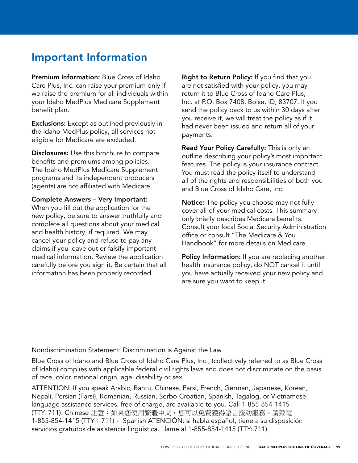#### Important Information

Premium Information: Blue Cross of Idaho Care Plus, Inc. can raise your premium only if we raise the premium for all individuals within your Idaho MedPlus Medicare Supplement benefit plan.

**Exclusions:** Except as outlined previously in the Idaho MedPlus policy, all services not eligible for Medicare are excluded.

Disclosures: Use this brochure to compare benefits and premiums among policies. The Idaho MedPlus Medicare Supplement programs and its independent producers (agents) are not affiliated with Medicare.

Complete Answers – Very Important: When you fill out the application for the new policy, be sure to answer truthfully and complete all questions about your medical and health history, if required. We may cancel your policy and refuse to pay any claims if you leave out or falsify important medical information. Review the application carefully before you sign it. Be certain that all information has been properly recorded.

**Right to Return Policy:** If you find that you are not satisfied with your policy, you may return it to Blue Cross of Idaho Care Plus, Inc. at P.O. Box 7408, Boise, ID, 83707. If you send the policy back to us within 30 days after you receive it, we will treat the policy as if it had never been issued and return all of your payments.

Read Your Policy Carefully: This is only an outline describing your policy's most important features. The policy is your insurance contract. You must read the policy itself to understand all of the rights and responsibilities of both you and Blue Cross of Idaho Care, Inc.

Notice: The policy you choose may not fully cover all of your medical costs. This summary only briefly describes Medicare benefits. Consult your local Social Security Administration office or consult "The Medicare & You Handbook" for more details on Medicare.

Policy Information: If you are replacing another health insurance policy, do NOT cancel it until you have actually received your new policy and are sure you want to keep it.

Nondiscrimination Statement: Discrimination is Against the Law

Blue Cross of Idaho and Blue Cross of Idaho Care Plus, Inc., (collectively referred to as Blue Cross of Idaho) complies with applicable federal civil rights laws and does not discriminate on the basis of race, color, national origin, age, disability or sex.

ATTENTION: If you speak Arabic, Bantu, Chinese, Farsi, French, German, Japanese, Korean, Nepali, Persian (Farsi), Romanian, Russian, Serbo-Croatian, Spanish, Tagalog, or Vietnamese, language assistance services, free of charge, are available to you. Call 1-855-854-1415 (TTY: 711). Chinese 注意:如果您使用繁體中文,您可以免費獲得語言援助服務。請致電 1-855-854-1415 (TTY:711)。 Spanish ATENCIÓN: si habla español, tiene a su disposición servicios gratuitos de asistencia lingüística. Llame al 1-855-854-1415 (TTY: 711).